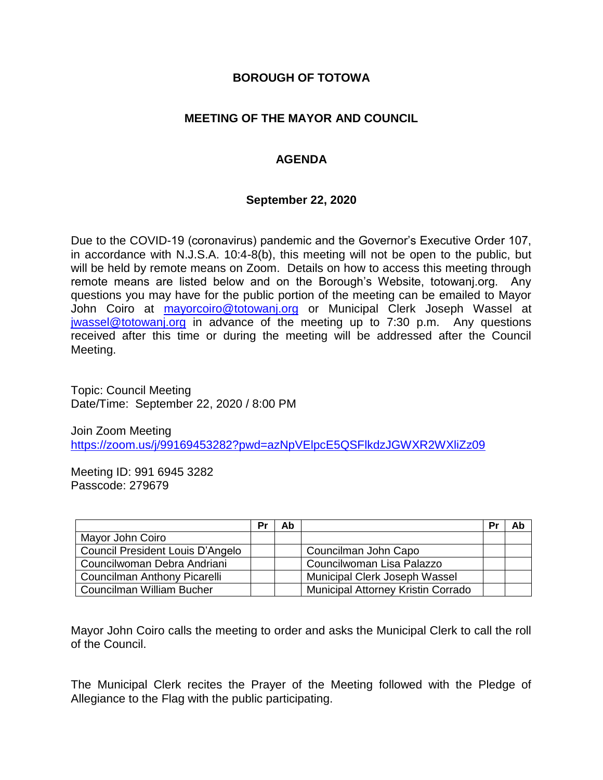### **BOROUGH OF TOTOWA**

## **MEETING OF THE MAYOR AND COUNCIL**

## **AGENDA**

#### **September 22, 2020**

Due to the COVID-19 (coronavirus) pandemic and the Governor's Executive Order 107, in accordance with N.J.S.A. 10:4-8(b), this meeting will not be open to the public, but will be held by remote means on Zoom. Details on how to access this meeting through remote means are listed below and on the Borough's Website, totowanj.org. Any questions you may have for the public portion of the meeting can be emailed to Mayor John Coiro at [mayorcoiro@totowanj.org](mailto:mayorcoiro@totowanj.org) or Municipal Clerk Joseph Wassel at [jwassel@totowanj.org](mailto:jwassel@totowanj.org) in advance of the meeting up to 7:30 p.m. Any questions received after this time or during the meeting will be addressed after the Council Meeting.

Topic: Council Meeting Date/Time: September 22, 2020 / 8:00 PM

Join Zoom Meeting <https://zoom.us/j/99169453282?pwd=azNpVElpcE5QSFlkdzJGWXR2WXliZz09>

Meeting ID: 991 6945 3282 Passcode: 279679

|                                         | Pr | Ab |                                           | Pr | Ab |
|-----------------------------------------|----|----|-------------------------------------------|----|----|
| Mayor John Coiro                        |    |    |                                           |    |    |
| <b>Council President Louis D'Angelo</b> |    |    | Councilman John Capo                      |    |    |
| Councilwoman Debra Andriani             |    |    | Councilwoman Lisa Palazzo                 |    |    |
| Councilman Anthony Picarelli            |    |    | Municipal Clerk Joseph Wassel             |    |    |
| Councilman William Bucher               |    |    | <b>Municipal Attorney Kristin Corrado</b> |    |    |

Mayor John Coiro calls the meeting to order and asks the Municipal Clerk to call the roll of the Council.

The Municipal Clerk recites the Prayer of the Meeting followed with the Pledge of Allegiance to the Flag with the public participating.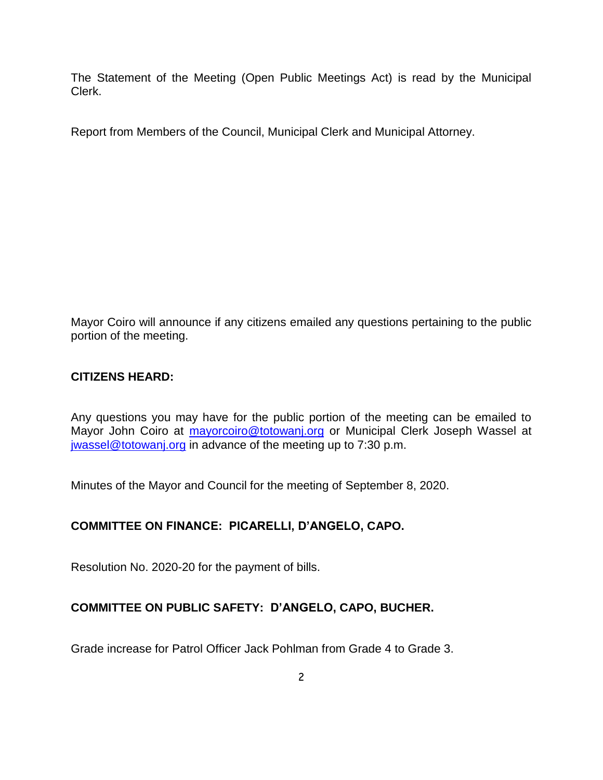The Statement of the Meeting (Open Public Meetings Act) is read by the Municipal Clerk.

Report from Members of the Council, Municipal Clerk and Municipal Attorney.

Mayor Coiro will announce if any citizens emailed any questions pertaining to the public portion of the meeting.

## **CITIZENS HEARD:**

Any questions you may have for the public portion of the meeting can be emailed to Mayor John Coiro at [mayorcoiro@totowanj.org](mailto:mayorcoiro@totowanj.org) or Municipal Clerk Joseph Wassel at [jwassel@totowanj.org](mailto:jwassel@totowanj.org) in advance of the meeting up to 7:30 p.m.

Minutes of the Mayor and Council for the meeting of September 8, 2020.

#### **COMMITTEE ON FINANCE: PICARELLI, D'ANGELO, CAPO.**

Resolution No. 2020-20 for the payment of bills.

# **COMMITTEE ON PUBLIC SAFETY: D'ANGELO, CAPO, BUCHER.**

Grade increase for Patrol Officer Jack Pohlman from Grade 4 to Grade 3.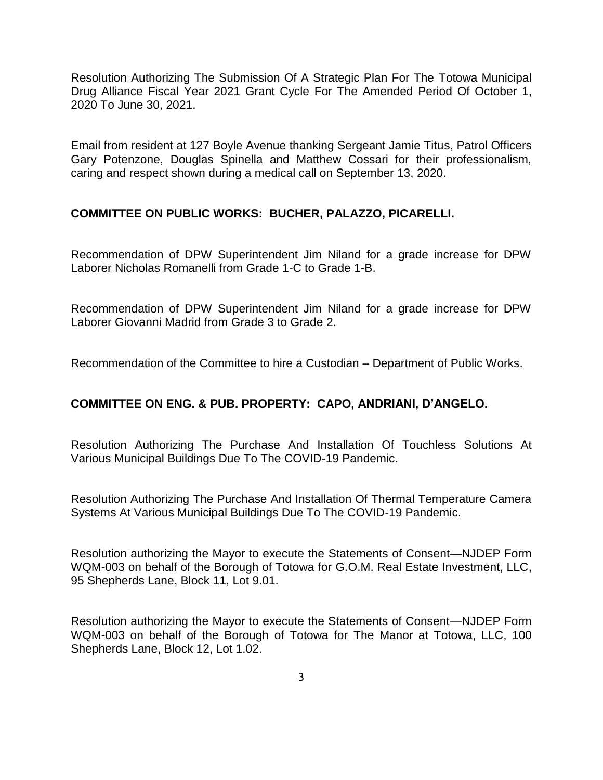Resolution Authorizing The Submission Of A Strategic Plan For The Totowa Municipal Drug Alliance Fiscal Year 2021 Grant Cycle For The Amended Period Of October 1, 2020 To June 30, 2021.

Email from resident at 127 Boyle Avenue thanking Sergeant Jamie Titus, Patrol Officers Gary Potenzone, Douglas Spinella and Matthew Cossari for their professionalism, caring and respect shown during a medical call on September 13, 2020.

## **COMMITTEE ON PUBLIC WORKS: BUCHER, PALAZZO, PICARELLI.**

Recommendation of DPW Superintendent Jim Niland for a grade increase for DPW Laborer Nicholas Romanelli from Grade 1-C to Grade 1-B.

Recommendation of DPW Superintendent Jim Niland for a grade increase for DPW Laborer Giovanni Madrid from Grade 3 to Grade 2.

Recommendation of the Committee to hire a Custodian – Department of Public Works.

# **COMMITTEE ON ENG. & PUB. PROPERTY: CAPO, ANDRIANI, D'ANGELO.**

Resolution Authorizing The Purchase And Installation Of Touchless Solutions At Various Municipal Buildings Due To The COVID-19 Pandemic.

Resolution Authorizing The Purchase And Installation Of Thermal Temperature Camera Systems At Various Municipal Buildings Due To The COVID-19 Pandemic.

Resolution authorizing the Mayor to execute the Statements of Consent—NJDEP Form WQM-003 on behalf of the Borough of Totowa for G.O.M. Real Estate Investment, LLC, 95 Shepherds Lane, Block 11, Lot 9.01.

Resolution authorizing the Mayor to execute the Statements of Consent—NJDEP Form WQM-003 on behalf of the Borough of Totowa for The Manor at Totowa, LLC, 100 Shepherds Lane, Block 12, Lot 1.02.